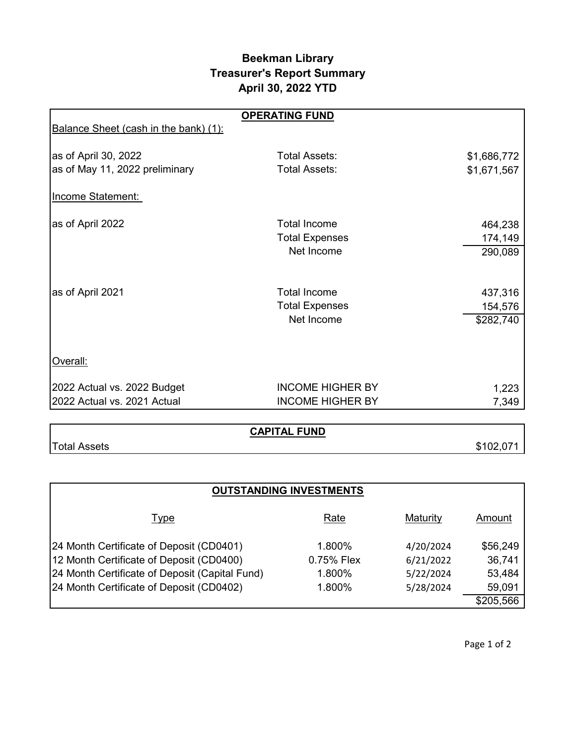## **Beekman Library Treasurer's Report Summary April 30, 2022 YTD**

| Balance Sheet (cash in the bank) (1):<br>as of April 30, 2022<br>Total Assets:<br>\$1,686,772<br>as of May 11, 2022 preliminary<br><b>Total Assets:</b><br>\$1,671,567<br><b>Income Statement:</b><br>as of April 2022<br><b>Total Income</b><br>464,238<br><b>Total Expenses</b><br>174,149<br>Net Income<br>290,089<br>as of April 2021<br><b>Total Income</b><br>437,316<br><b>Total Expenses</b><br>154,576<br>Net Income<br>\$282,740<br>Overall:<br><b>INCOME HIGHER BY</b><br>2022 Actual vs. 2022 Budget<br>1,223<br><b>INCOME HIGHER BY</b><br>7,349 |                             | <b>OPERATING FUND</b> |  |
|---------------------------------------------------------------------------------------------------------------------------------------------------------------------------------------------------------------------------------------------------------------------------------------------------------------------------------------------------------------------------------------------------------------------------------------------------------------------------------------------------------------------------------------------------------------|-----------------------------|-----------------------|--|
|                                                                                                                                                                                                                                                                                                                                                                                                                                                                                                                                                               |                             |                       |  |
|                                                                                                                                                                                                                                                                                                                                                                                                                                                                                                                                                               |                             |                       |  |
|                                                                                                                                                                                                                                                                                                                                                                                                                                                                                                                                                               |                             |                       |  |
|                                                                                                                                                                                                                                                                                                                                                                                                                                                                                                                                                               |                             |                       |  |
|                                                                                                                                                                                                                                                                                                                                                                                                                                                                                                                                                               |                             |                       |  |
|                                                                                                                                                                                                                                                                                                                                                                                                                                                                                                                                                               |                             |                       |  |
|                                                                                                                                                                                                                                                                                                                                                                                                                                                                                                                                                               |                             |                       |  |
|                                                                                                                                                                                                                                                                                                                                                                                                                                                                                                                                                               |                             |                       |  |
|                                                                                                                                                                                                                                                                                                                                                                                                                                                                                                                                                               |                             |                       |  |
|                                                                                                                                                                                                                                                                                                                                                                                                                                                                                                                                                               |                             |                       |  |
|                                                                                                                                                                                                                                                                                                                                                                                                                                                                                                                                                               |                             |                       |  |
|                                                                                                                                                                                                                                                                                                                                                                                                                                                                                                                                                               |                             |                       |  |
|                                                                                                                                                                                                                                                                                                                                                                                                                                                                                                                                                               |                             |                       |  |
|                                                                                                                                                                                                                                                                                                                                                                                                                                                                                                                                                               |                             |                       |  |
|                                                                                                                                                                                                                                                                                                                                                                                                                                                                                                                                                               | 2022 Actual vs. 2021 Actual |                       |  |

# **CAPITAL FUND**

Total Assets \$102,071

|                                                | <b>OUTSTANDING INVESTMENTS</b> |           |           |
|------------------------------------------------|--------------------------------|-----------|-----------|
| <u>Type</u>                                    | Rate                           | Maturity  | Amount    |
| 24 Month Certificate of Deposit (CD0401)       | 1.800%                         | 4/20/2024 | \$56,249  |
| 12 Month Certificate of Deposit (CD0400)       | 0.75% Flex                     | 6/21/2022 | 36,741    |
| 24 Month Certificate of Deposit (Capital Fund) | 1.800%                         | 5/22/2024 | 53,484    |
| 24 Month Certificate of Deposit (CD0402)       | 1.800%                         | 5/28/2024 | 59,091    |
|                                                |                                |           | \$205,566 |

Page 1 of 2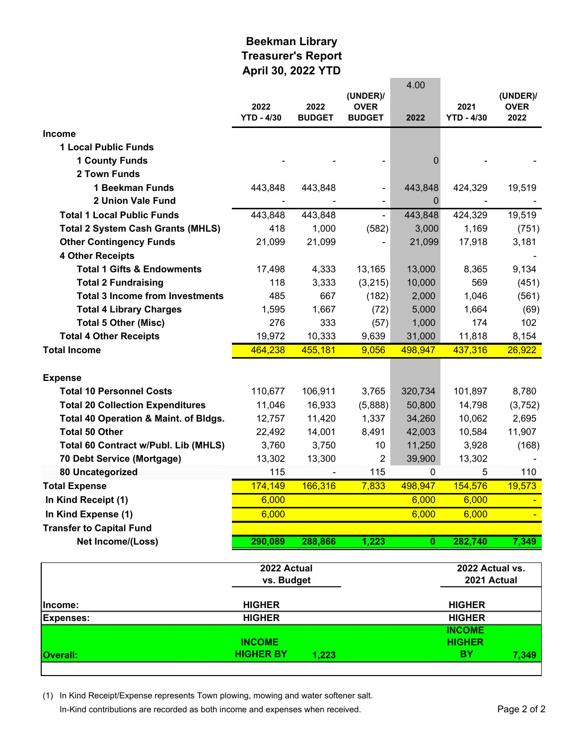### **Beekman Library Treasurer's Report April 30, 2022 YTD**

|                                          | 2022<br><b>YTD - 4/30</b> | 2022<br><b>BUDGET</b> | (UNDER)/<br><b>OVER</b><br><b>BUDGET</b> | 4.00<br>2022 | 2021<br><b>YTD - 4/30</b>      | (UNDER)/<br><b>OVER</b><br>2022 |
|------------------------------------------|---------------------------|-----------------------|------------------------------------------|--------------|--------------------------------|---------------------------------|
| <b>Income</b>                            |                           |                       |                                          |              |                                |                                 |
| <b>1 Local Public Funds</b>              |                           |                       |                                          |              |                                |                                 |
| <b>1 County Funds</b>                    |                           |                       |                                          | $\Omega$     |                                |                                 |
| 2 Town Funds                             |                           |                       |                                          |              |                                |                                 |
| 1 Beekman Funds                          | 443,848                   | 443,848               |                                          | 443,848      | 424,329                        | 19,519                          |
| 2 Union Vale Fund                        |                           |                       | $\blacksquare$                           | 0            |                                |                                 |
| <b>Total 1 Local Public Funds</b>        | 443,848                   | 443,848               | $\blacksquare$                           | 443,848      | 424,329                        | 19,519                          |
| <b>Total 2 System Cash Grants (MHLS)</b> | 418                       | 1,000                 | (582)                                    | 3,000        | 1,169                          | (751)                           |
| <b>Other Contingency Funds</b>           | 21,099                    | 21,099                |                                          | 21,099       | 17,918                         | 3,181                           |
| <b>4 Other Receipts</b>                  |                           |                       |                                          |              |                                |                                 |
| <b>Total 1 Gifts &amp; Endowments</b>    | 17,498                    | 4,333                 | 13,165                                   | 13,000       | 8,365                          | 9,134                           |
| <b>Total 2 Fundraising</b>               | 118                       | 3,333                 | (3,215)                                  | 10,000       | 569                            | (451)                           |
| <b>Total 3 Income from Investments</b>   | 485                       | 667                   | (182)                                    | 2,000        | 1,046                          | (561)                           |
| <b>Total 4 Library Charges</b>           | 1,595                     | 1,667                 | (72)                                     | 5,000        | 1,664                          | (69)                            |
| <b>Total 5 Other (Misc)</b>              | 276                       | 333                   | (57)                                     | 1,000        | 174                            | 102                             |
| <b>Total 4 Other Receipts</b>            | 19,972                    | 10,333                | 9,639                                    | 31,000       | 11,818                         | 8,154                           |
| <b>Total Income</b>                      | 464,238                   | 455,181               | 9,056                                    | 498,947      | 437,316                        | 26,922                          |
| <b>Expense</b>                           |                           |                       |                                          |              |                                |                                 |
| <b>Total 10 Personnel Costs</b>          | 110,677                   | 106,911               | 3,765                                    | 320,734      | 101,897                        | 8,780                           |
| <b>Total 20 Collection Expenditures</b>  | 11,046                    | 16,933                | (5,888)                                  | 50,800       | 14,798                         | (3, 752)                        |
| Total 40 Operation & Maint. of Bldgs.    | 12,757                    | 11,420                | 1,337                                    | 34,260       | 10,062                         | 2,695                           |
| <b>Total 50 Other</b>                    | 22,492                    | 14,001                | 8,491                                    | 42,003       | 10,584                         | 11,907                          |
| Total 60 Contract w/Publ. Lib (MHLS)     | 3,760                     | 3,750                 | 10                                       | 11,250       | 3,928                          | (168)                           |
| 70 Debt Service (Mortgage)               | 13,302                    | 13,300                | 2                                        | 39,900       | 13,302                         |                                 |
| 80 Uncategorized                         | 115                       |                       | 115                                      | 0            | 5                              | 110                             |
| <b>Total Expense</b>                     | 174,149                   | 166,316               | 7,833                                    | 498,947      | 154,576                        | 19,573                          |
| In Kind Receipt (1)                      | 6,000                     |                       |                                          | 6,000        | 6,000                          |                                 |
| In Kind Expense (1)                      | 6,000                     |                       |                                          | 6,000        | 6,000                          |                                 |
| <b>Transfer to Capital Fund</b>          |                           |                       |                                          |              |                                |                                 |
| Net Income/(Loss)                        | 290,089                   | 288,866               | 1,223                                    | $\mathbf{0}$ | 282,740                        | 7,349                           |
|                                          | 2022 Actual<br>vs. Budget |                       |                                          |              | 2022 Actual vs.<br>2021 Actual |                                 |
|                                          |                           |                       |                                          |              |                                |                                 |

| <b>Income:</b>   | <b>HIGHER</b> | <b>HIGHER</b> |
|------------------|---------------|---------------|
| <b>Expenses:</b> | <b>HIGHER</b> | <b>HIGHER</b> |
|                  |               | <b>NCOME</b>  |
|                  | <b>INCOME</b> | <b>IIGHFR</b> |
|                  | HIGHER BY     | R١            |

(1) In Kind Receipt/Expense represents Town plowing, mowing and water softener salt.

In-Kind contributions are recorded as both income and expenses when received. Page 2 of 2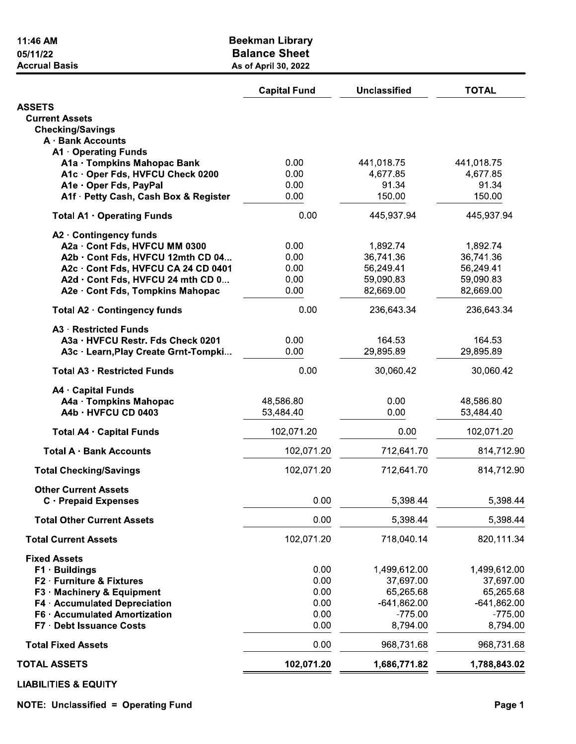| 11:46 AM                                                                 | <b>Beekman Library</b> |                        |                        |
|--------------------------------------------------------------------------|------------------------|------------------------|------------------------|
| 05/11/22                                                                 | <b>Balance Sheet</b>   |                        |                        |
| <b>Accrual Basis</b>                                                     | As of April 30, 2022   |                        |                        |
|                                                                          | <b>Capital Fund</b>    | <b>Unclassified</b>    | <b>TOTAL</b>           |
| <b>ASSETS</b>                                                            |                        |                        |                        |
| <b>Current Assets</b>                                                    |                        |                        |                        |
| <b>Checking/Savings</b>                                                  |                        |                        |                        |
| A · Bank Accounts                                                        |                        |                        |                        |
| A1 · Operating Funds                                                     | 0.00                   | 441,018.75             | 441,018.75             |
| A1a · Tompkins Mahopac Bank<br>A1c · Oper Fds, HVFCU Check 0200          | 0.00                   | 4,677.85               | 4,677.85               |
| A1e · Oper Fds, PayPal                                                   | 0.00                   | 91.34                  | 91.34                  |
| A1f · Petty Cash, Cash Box & Register                                    | 0.00                   | 150.00                 | 150.00                 |
| Total A1 · Operating Funds                                               | 0.00                   | 445,937.94             | 445,937.94             |
| A2 · Contingency funds                                                   |                        |                        |                        |
| A2a · Cont Fds, HVFCU MM 0300                                            | 0.00                   | 1,892.74               | 1,892.74               |
| A2b · Cont Fds, HVFCU 12mth CD 04                                        | 0.00                   | 36,741.36              | 36,741.36              |
| A2c · Cont Fds, HVFCU CA 24 CD 0401<br>A2d · Cont Fds, HVFCU 24 mth CD 0 | 0.00<br>0.00           | 56,249.41<br>59,090.83 | 56,249.41<br>59,090.83 |
| A2e · Cont Fds, Tompkins Mahopac                                         | 0.00                   | 82,669.00              | 82,669.00              |
| Total A2 · Contingency funds                                             | 0.00                   | 236,643.34             | 236,643.34             |
| A3 · Restricted Funds                                                    |                        |                        |                        |
| A3a · HVFCU Restr. Fds Check 0201                                        | 0.00                   | 164.53                 | 164.53                 |
| A3c · Learn, Play Create Grnt-Tompki                                     | 0.00                   | 29,895.89              | 29,895.89              |
| Total A3 · Restricted Funds                                              | 0.00                   | 30,060.42              | 30,060.42              |
| A4 · Capital Funds                                                       |                        |                        |                        |
| A4a · Tompkins Mahopac                                                   | 48,586.80              | 0.00                   | 48,586.80              |
| A4b · HVFCU CD 0403                                                      | 53,484.40              | 0.00                   | 53,484.40              |
| Total A4 · Capital Funds                                                 | 102,071.20             | 0.00                   | 102,071.20             |
| Total A · Bank Accounts                                                  | 102,071.20             | 712,641.70             | 814,712.90             |
| <b>Total Checking/Savings</b>                                            | 102,071.20             | 712,641.70             | 814,712.90             |
| <b>Other Current Assets</b><br><b>C</b> · Prepaid Expenses               | 0.00                   | 5,398.44               | 5,398.44               |
| <b>Total Other Current Assets</b>                                        | 0.00                   | 5,398.44               | 5,398.44               |
| <b>Total Current Assets</b>                                              | 102,071.20             | 718,040.14             | 820,111.34             |
|                                                                          |                        |                        |                        |
| <b>Fixed Assets</b><br>$F1 \cdot$ Buildings                              | 0.00                   | 1,499,612.00           | 1,499,612.00           |
| F2 · Furniture & Fixtures                                                | 0.00                   | 37,697.00              | 37,697.00              |
| F3 · Machinery & Equipment                                               | 0.00                   | 65,265.68              | 65,265.68              |
| F4 · Accumulated Depreciation                                            | 0.00                   | $-641,862.00$          | -641,862.00            |
| F6 · Accumulated Amortization                                            | 0.00                   | $-775.00$              | $-775.00$              |
| F7 · Debt Issuance Costs                                                 | 0.00                   | 8,794.00               | 8,794.00               |
| <b>Total Fixed Assets</b>                                                | 0.00                   | 968,731.68             | 968,731.68             |
| <b>TOTAL ASSETS</b>                                                      | 102,071.20             | 1,686,771.82           | 1,788,843.02           |
|                                                                          |                        |                        |                        |

**LIABILITIES & EQUITY** 

**NOTE: Unclassified = Operating Fund**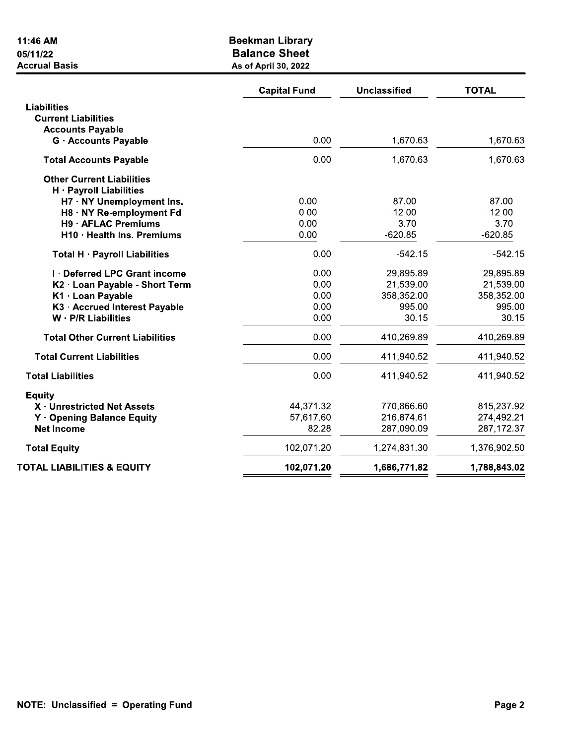| 11:46 AM<br>05/11/22<br><b>Accrual Basis</b>                | <b>Beekman Library</b><br><b>Balance Sheet</b><br>As of April 30, 2022 |                     |              |
|-------------------------------------------------------------|------------------------------------------------------------------------|---------------------|--------------|
|                                                             | <b>Capital Fund</b>                                                    | <b>Unclassified</b> | <b>TOTAL</b> |
| <b>Liabilities</b>                                          |                                                                        |                     |              |
| <b>Current Liabilities</b>                                  |                                                                        |                     |              |
| <b>Accounts Payable</b>                                     |                                                                        |                     |              |
| <b>G</b> · Accounts Payable                                 | 0.00                                                                   | 1,670.63            | 1,670.63     |
| <b>Total Accounts Payable</b>                               | 0.00                                                                   | 1,670.63            | 1,670.63     |
| <b>Other Current Liabilities</b><br>H · Payroll Liabilities |                                                                        |                     |              |
| H7 · NY Unemployment Ins.                                   | 0.00                                                                   | 87.00               | 87.00        |
| H8 · NY Re-employment Fd                                    | 0.00                                                                   | $-12.00$            | $-12.00$     |
| <b>H9 · AFLAC Premiums</b>                                  | 0.00                                                                   | 3.70                | 3.70         |
| H10 · Health Ins. Premiums                                  | 0.00                                                                   | $-620.85$           | $-620.85$    |
| Total H · Payroll Liabilities                               | 0.00                                                                   | $-542.15$           | $-542.15$    |
| I · Deferred LPC Grant income                               | 0.00                                                                   | 29,895.89           | 29,895.89    |
| K2 · Loan Payable - Short Term                              | 0.00                                                                   | 21,539.00           | 21,539.00    |
| K1 · Loan Payable                                           | 0.00                                                                   | 358,352.00          | 358,352.00   |
| K3 · Accrued Interest Payable                               | 0.00                                                                   | 995.00              | 995.00       |
| $W \cdot P/R$ Liabilities                                   | 0.00                                                                   | 30.15               | 30.15        |
| <b>Total Other Current Liabilities</b>                      | 0.00                                                                   | 410,269.89          | 410,269.89   |
| <b>Total Current Liabilities</b>                            | 0.00                                                                   | 411,940.52          | 411,940.52   |
| <b>Total Liabilities</b>                                    | 0.00                                                                   | 411,940.52          | 411,940.52   |
| <b>Equity</b>                                               |                                                                        |                     |              |
| X · Unrestricted Net Assets                                 | 44,371.32                                                              | 770,866.60          | 815,237.92   |
| <b>Y</b> Opening Balance Equity                             | 57,617.60                                                              | 216,874.61          | 274,492.21   |
| <b>Net Income</b>                                           | 82.28                                                                  | 287,090.09          | 287, 172.37  |
| <b>Total Equity</b>                                         | 102,071.20                                                             | 1,274,831.30        | 1,376,902.50 |
| <b>TOTAL LIABILITIES &amp; EQUITY</b>                       | 102,071.20                                                             | 1,686,771.82        | 1,788,843.02 |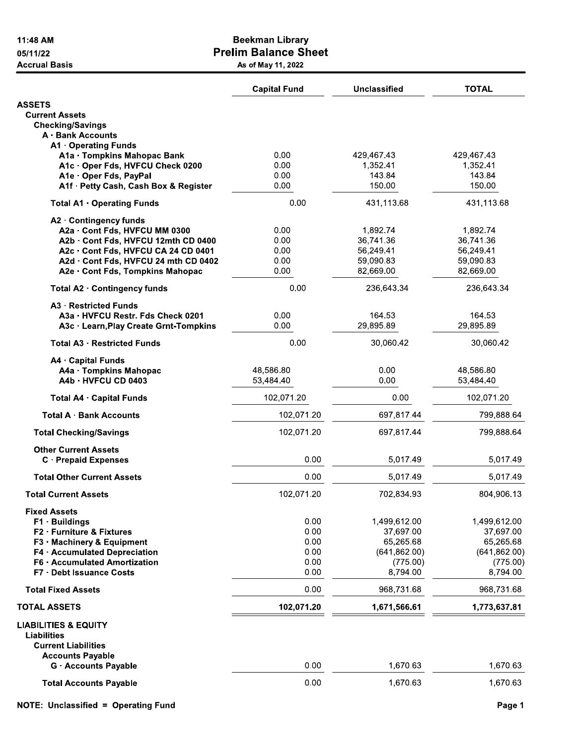| 11:48 AM |
|----------|
| 05/11/22 |

**Accrual Basis** 

#### **Beekman Library Prelim Balance Sheet**

As of May 11, 2022

|                                                                                                                                                                                                                   | <b>Capital Fund</b>                          | <b>Unclassified</b>                                                             | <b>TOTAL</b>                                                                    |
|-------------------------------------------------------------------------------------------------------------------------------------------------------------------------------------------------------------------|----------------------------------------------|---------------------------------------------------------------------------------|---------------------------------------------------------------------------------|
| <b>ASSETS</b><br><b>Current Assets</b><br><b>Checking/Savings</b>                                                                                                                                                 |                                              |                                                                                 |                                                                                 |
| A · Bank Accounts<br>A1 Operating Funds<br>A1a · Tompkins Mahopac Bank<br>A1c · Oper Fds, HVFCU Check 0200<br>A1e · Oper Fds, PayPal<br>A1f · Petty Cash, Cash Box & Register                                     | 0.00<br>0.00<br>0.00<br>0.00                 | 429,467.43<br>1,352.41<br>143.84<br>150.00                                      | 429,467.43<br>1,352.41<br>143.84<br>150.00                                      |
| Total A1 · Operating Funds                                                                                                                                                                                        | 0.00                                         | 431,113.68                                                                      | 431,113.68                                                                      |
| A2 · Contingency funds<br>A2a · Cont Fds, HVFCU MM 0300<br>A2b · Cont Fds, HVFCU 12mth CD 0400<br>A2c · Cont Fds, HVFCU CA 24 CD 0401<br>A2d · Cont Fds, HVFCU 24 mth CD 0402<br>A2e · Cont Fds, Tompkins Mahopac | 0.00<br>0.00<br>0.00<br>0.00<br>0.00         | 1,892.74<br>36,741.36<br>56,249.41<br>59,090.83<br>82,669.00                    | 1,892.74<br>36,741.36<br>56,249.41<br>59,090.83<br>82,669.00                    |
| Total A2 · Contingency funds                                                                                                                                                                                      | 0.00                                         | 236,643.34                                                                      | 236,643.34                                                                      |
| A3 · Restricted Funds<br>A3a · HVFCU Restr. Fds Check 0201<br>A3c · Learn, Play Create Grnt-Tompkins                                                                                                              | 0.00<br>0.00                                 | 164.53<br>29,895.89                                                             | 164.53<br>29,895.89                                                             |
| Total A3 · Restricted Funds                                                                                                                                                                                       | 0.00                                         | 30,060.42                                                                       | 30,060.42                                                                       |
| A4 · Capital Funds<br>A4a · Tompkins Mahopac<br>A4b · HVFCU CD 0403                                                                                                                                               | 48,586.80<br>53,484.40                       | 0.00<br>0.00                                                                    | 48,586.80<br>53,484.40                                                          |
| Total A4 · Capital Funds                                                                                                                                                                                          | 102,071.20                                   | 0.00                                                                            | 102,071.20                                                                      |
| Total A · Bank Accounts                                                                                                                                                                                           | 102,071.20                                   | 697,817.44                                                                      | 799,888.64                                                                      |
| <b>Total Checking/Savings</b>                                                                                                                                                                                     | 102,071.20                                   | 697,817.44                                                                      | 799,888.64                                                                      |
| <b>Other Current Assets</b><br><b>C</b> · Prepaid Expenses                                                                                                                                                        | 0.00                                         | 5,017.49                                                                        | 5,017.49                                                                        |
| <b>Total Other Current Assets</b>                                                                                                                                                                                 | 0.00                                         | 5,017.49                                                                        | 5,017.49                                                                        |
| <b>Total Current Assets</b>                                                                                                                                                                                       | 102,071.20                                   | 702,834.93                                                                      | 804,906.13                                                                      |
| <b>Fixed Assets</b><br>F1 · Buildings<br>F2 · Furniture & Fixtures<br>F3 · Machinery & Equipment<br>F4 · Accumulated Depreciation<br>F6 · Accumulated Amortization<br>F7 · Debt Issuance Costs                    | 0.00<br>0.00<br>0.00<br>0.00<br>0.00<br>0.00 | 1,499,612.00<br>37,697.00<br>65,265.68<br>(641, 862.00)<br>(775.00)<br>8,794.00 | 1,499,612.00<br>37,697.00<br>65,265.68<br>(641, 862.00)<br>(775.00)<br>8,794.00 |
| <b>Total Fixed Assets</b>                                                                                                                                                                                         | 0.00                                         | 968,731.68                                                                      | 968,731.68                                                                      |
| <b>TOTAL ASSETS</b>                                                                                                                                                                                               | 102,071.20                                   | 1,671,566.61                                                                    | 1,773,637.81                                                                    |
| <b>LIABILITIES &amp; EQUITY</b><br><b>Liabilities</b><br><b>Current Liabilities</b><br><b>Accounts Payable</b>                                                                                                    |                                              |                                                                                 |                                                                                 |
| <b>G</b> · Accounts Payable                                                                                                                                                                                       | 0.00                                         | 1,670.63                                                                        | 1,670.63                                                                        |
| <b>Total Accounts Payable</b>                                                                                                                                                                                     | 0.00                                         | 1,670.63                                                                        | 1,670.63                                                                        |

NOTE: Unclassified = Operating Fund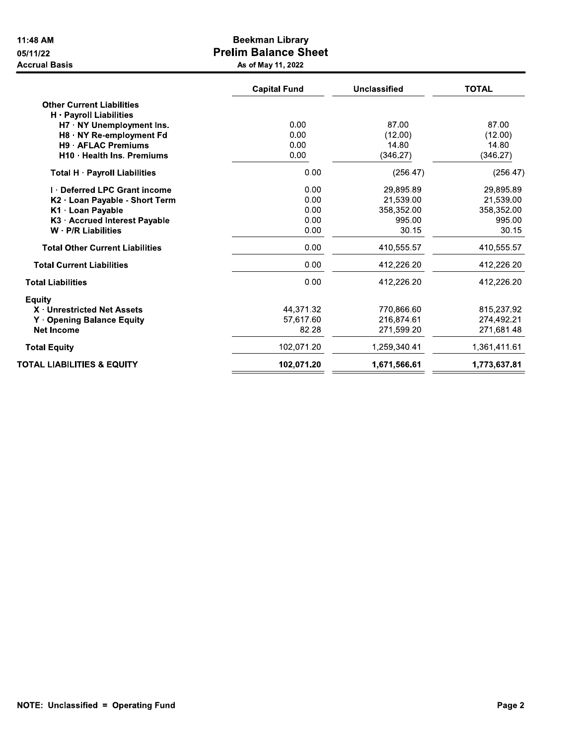| 11:48 AM                               | <b>Beekman Library</b>      |              |              |
|----------------------------------------|-----------------------------|--------------|--------------|
| 05/11/22                               | <b>Prelim Balance Sheet</b> |              |              |
| <b>Accrual Basis</b>                   | As of May 11, 2022          |              |              |
|                                        | <b>Capital Fund</b>         | Unclassified | <b>TOTAL</b> |
| <b>Other Current Liabilities</b>       |                             |              |              |
| $H \cdot$ Payroll Liabilities          |                             |              |              |
| H7 · NY Unemployment Ins.              | 0.00                        | 87.00        | 87.00        |
| H8 · NY Re-employment Fd               | 0.00                        | (12.00)      | (12.00)      |
| <b>H9 · AFLAC Premiums</b>             | 0.00                        | 14.80        | 14.80        |
| H <sub>10</sub> · Health Ins. Premiums | 0.00                        | (346.27)     | (346.27)     |
| Total H · Payroll Liabilities          | 0.00                        | (256.47)     | (256.47)     |
| <b>I</b> Deferred LPC Grant income     | 0.00                        | 29,895.89    | 29,895.89    |
| K2 · Loan Payable - Short Term         | 0.00                        | 21,539.00    | 21,539.00    |
| K1 · Loan Payable                      | 0.00                        | 358,352.00   | 358,352.00   |
| K3 · Accrued Interest Payable          | 0.00                        | 995.00       | 995.00       |
| <b>W</b> P/R Liabilities               | 0.00                        | 30.15        | 30.15        |
| <b>Total Other Current Liabilities</b> | 0.00                        | 410,555.57   | 410,555.57   |
| <b>Total Current Liabilities</b>       | 0.00                        | 412,226.20   | 412,226.20   |
| <b>Total Liabilities</b>               | 0.00                        | 412,226.20   | 412,226.20   |
| Equity                                 |                             |              |              |
| X · Unrestricted Net Assets            | 44,371.32                   | 770,866.60   | 815,237.92   |
| <b>Y</b> Opening Balance Equity        | 57,617.60                   | 216,874.61   | 274,492.21   |
| Net Income                             | 82.28                       | 271,599.20   | 271,681.48   |
| <b>Total Equity</b>                    | 102,071.20                  | 1.259,340.41 | 1,361,411.61 |
| <b>TOTAL LIABILITIES &amp; EQUITY</b>  | 102,071.20                  | 1,671,566.61 | 1,773,637.81 |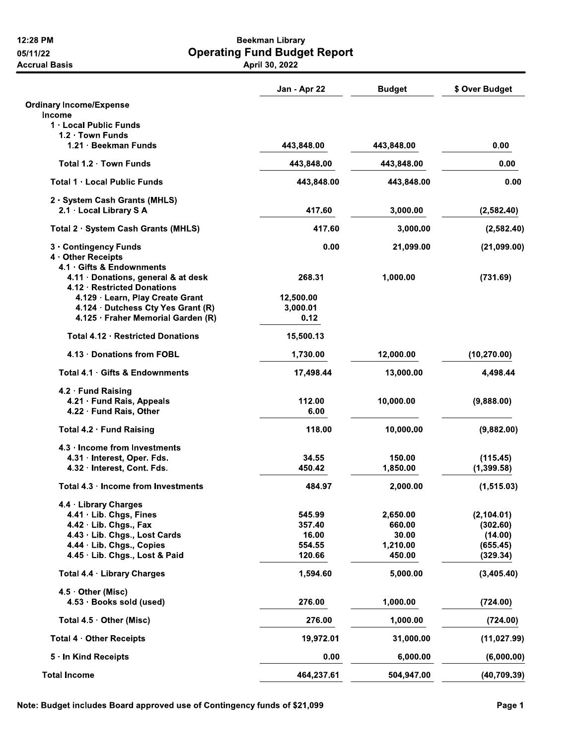| 12:28 PM                            | <b>Beekman Library</b>              |                    |                |
|-------------------------------------|-------------------------------------|--------------------|----------------|
| 05/11/22                            | <b>Operating Fund Budget Report</b> |                    |                |
| <b>Accrual Basis</b>                | April 30, 2022                      |                    |                |
|                                     | Jan - Apr 22                        | <b>Budget</b>      | \$ Over Budget |
| <b>Ordinary Income/Expense</b>      |                                     |                    |                |
| Income                              |                                     |                    |                |
| 1 . Local Public Funds              |                                     |                    |                |
| 1.2 · Town Funds                    |                                     |                    |                |
| 1.21 Beekman Funds                  | 443,848.00                          | 443,848.00         | 0.00           |
| Total 1.2 · Town Funds              | 443,848.00                          | 443,848.00         | 0.00           |
| Total 1 · Local Public Funds        | 443,848.00                          | 443,848.00         | 0.00           |
| 2 · System Cash Grants (MHLS)       |                                     |                    |                |
| 2.1 · Local Library S A             | 417.60                              | 3,000.00           | (2,582.40)     |
| Total 2 · System Cash Grants (MHLS) | 417.60                              | 3,000.00           | (2,582.40)     |
| 3 Contingency Funds                 | 0.00                                | 21,099.00          | (21,099.00)    |
| 4 Other Receipts                    |                                     |                    |                |
| 4.1 Gifts & Endownments             |                                     |                    |                |
| 4.11 · Donations, general & at desk | 268.31                              | 1,000.00           | (731.69)       |
| 4.12 · Restricted Donations         |                                     |                    |                |
| 4.129 · Learn, Play Create Grant    | 12,500.00                           |                    |                |
| 4.124 · Dutchess Cty Yes Grant (R)  | 3,000.01                            |                    |                |
| 4.125 · Fraher Memorial Garden (R)  | 0.12                                |                    |                |
| Total 4.12 · Restricted Donations   | 15,500.13                           |                    |                |
| 4.13 Donations from FOBL            | 1,730.00                            | 12,000.00          | (10, 270.00)   |
| Total 4.1 Gifts & Endownments       | 17,498.44                           | 13,000.00          | 4,498.44       |
| 4.2 · Fund Raising                  |                                     |                    |                |
| 4.21 · Fund Rais, Appeals           | 112.00                              | 10,000.00          | (9,888.00)     |
| 4.22 · Fund Rais, Other             | 6.00                                |                    |                |
| Total 4.2 · Fund Raising            | 118.00                              | 10,000.00          | (9,882.00)     |
| 4.3 · Income from Investments       |                                     |                    |                |
| 4.31 · Interest, Oper. Fds.         | 34.55                               | 150.00             | (115.45)       |
| 4.32 · Interest, Cont. Fds.         | 450.42                              | 1,850.00           | (1, 399.58)    |
| Total 4.3 · Income from Investments | 484.97                              | 2,000.00           | (1, 515.03)    |
|                                     |                                     |                    |                |
| 4.4 · Library Charges               |                                     |                    |                |
| 4.41 · Lib. Chgs, Fines             | 545.99                              | 2,650.00           | (2, 104.01)    |
| 4.42 · Lib. Chgs., Fax              | 357.40                              | 660.00             | (302.60)       |
| 4.43 · Lib. Chgs., Lost Cards       | 16.00                               | 30.00              | (14.00)        |
| 4.44 · Lib. Chgs., Copies           | 554.55                              | 1,210.00<br>450.00 | (655.45)       |
| 4.45 · Lib. Chgs., Lost & Paid      | 120.66                              |                    | (329.34)       |
| Total 4.4 · Library Charges         | 1,594.60                            | 5,000.00           | (3,405.40)     |
| $4.5 \cdot$ Other (Misc)            |                                     |                    |                |
| 4.53 · Books sold (used)            | 276.00                              | 1,000.00           | (724.00)       |
| Total 4.5 · Other (Misc)            | 276.00                              | 1,000.00           | (724.00)       |
| Total $4 \cdot$ Other Receipts      | 19,972.01                           | 31,000.00          | (11, 027.99)   |
| 5 · In Kind Receipts                | 0.00                                | 6,000.00           | (6,000.00)     |
| <b>Total Income</b>                 | 464,237.61                          | 504,947.00         | (40, 709.39)   |
|                                     |                                     |                    |                |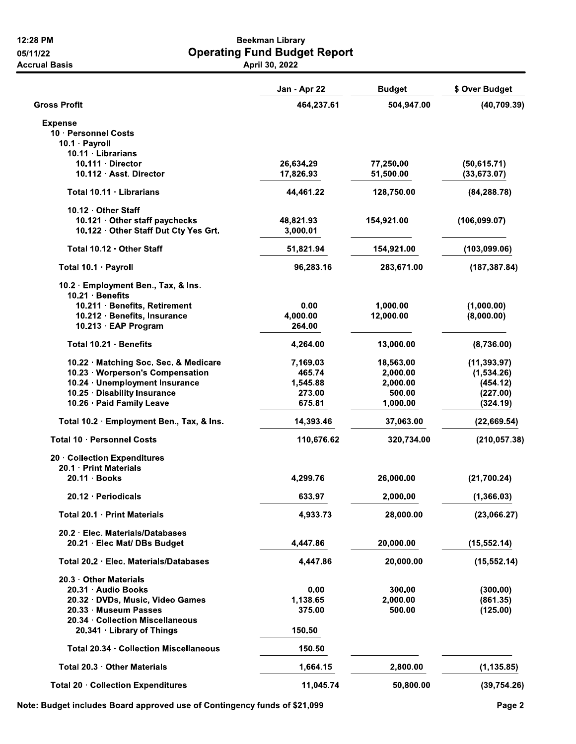12:28 PM **Beekman Library** 05/11/22 **Operating Fund Budget Report Accrual Basis** April 30, 2022 Jan - Apr 22 **Budget** \$ Over Budget **Gross Profit** 464,237.61 504,947.00  $(40, 709.39)$ **Expense** 10 · Personnel Costs 10.1 · Payroll 10.11 · Librarians 10.111 · Director 26,634.29 77,250.00  $(50, 615.71)$ 10.112 · Asst. Director 17,826.93 51,500.00  $(33, 673.07)$ Total 10.11 · Librarians 44,461.22 128,750.00  $(84, 288.78)$ 10.12 · Other Staff 10.121 · Other staff paychecks 48,821.93 154,921.00  $(106, 099.07)$ 10.122 · Other Staff Dut Cty Yes Grt. 3,000.01 Total 10.12 · Other Staff 51,821.94 154,921.00  $(103, 099.06)$ Total 10.1 · Payroll 96,283.16 283,671.00  $(187, 387.84)$ 10.2 · Employment Ben., Tax, & Ins. 10.21 · Benefits 10.211 · Benefits, Retirement  $0.00$ 1.000.00  $(1,000.00)$ 10.212 · Benefits, Insurance 4,000.00 12,000.00  $(8,000.00)$ 10.213 · EAP Program 264.00 Total 10.21 · Benefits 4,264.00 13,000.00  $(8,736.00)$ 10.22 · Matching Soc. Sec. & Medicare 7,169.03 18,563.00  $(11, 393.97)$ 10.23 · Worperson's Compensation 465.74 2.000.00  $(1,534.26)$ 10.24 · Unemployment Insurance 1,545.88 2,000.00  $(454.12)$ 10.25 · Disability Insurance 273.00 500.00  $(227.00)$ 10.26 · Paid Family Leave 675.81 1,000.00  $(324.19)$ Total 10.2 · Employment Ben., Tax, & Ins. 14,393.46 37,063.00  $(22, 669.54)$ Total 10 · Personnel Costs 110,676.62 320,734.00  $(210, 057.38)$ 20 Collection Expenditures 20.1 · Print Materials 4,299.76  $20.11 \cdot$  Books 26,000.00  $(21,700.24)$ 20.12 · Periodicals 633.97 2,000.00  $(1, 366.03)$ Total 20.1 · Print Materials 28,000.00 4,933.73  $(23,066.27)$ 20.2 · Elec. Materials/Databases 20.21 · Elec Mat/ DBs Budget 4,447.86 20,000.00  $(15, 552.14)$ Total 20.2 · Elec. Materials/Databases 4.447.86 20,000.00  $(15, 552.14)$ 20.3 · Other Materials 20.31 · Audio Books 300.00  $0.00$  $(300.00)$ 20.32 · DVDs, Music, Video Games 1,138.65 2,000.00  $(861.35)$ 20.33 · Museum Passes 375.00 500.00  $(125.00)$ 20.34 · Collection Miscellaneous 20.341 · Library of Things 150.50 Total 20.34 · Collection Miscellaneous 150.50 Total 20.3 Other Materials 1,664.15 2,800.00  $(1, 135.85)$ Total 20 · Collection Expenditures 11,045.74 50,800.00  $(39, 754.26)$ 

Note: Budget includes Board approved use of Contingency funds of \$21,099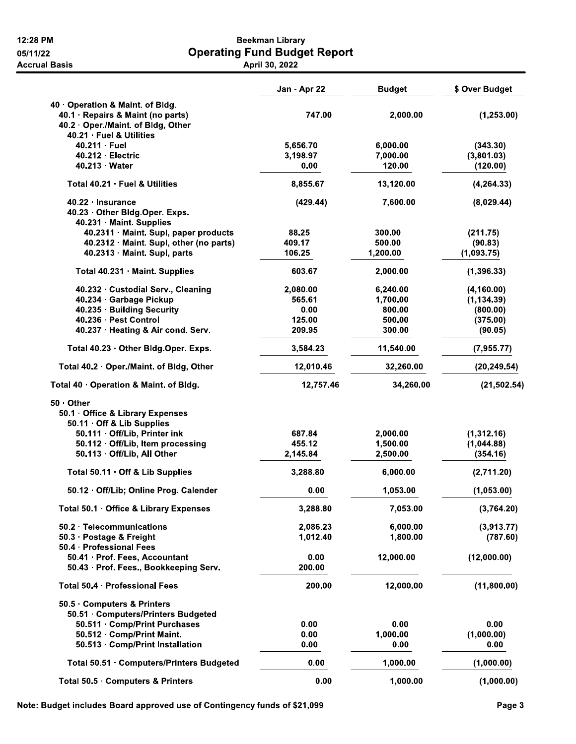### **Beekman Library Operating Fund Budget Report**

April 30, 2022

|                                                                                                     | Jan - Apr 22 | <b>Budget</b> | \$ Over Budget |
|-----------------------------------------------------------------------------------------------------|--------------|---------------|----------------|
| 40 Operation & Maint. of Bldg.                                                                      |              |               |                |
| 40.1 · Repairs & Maint (no parts)<br>40.2 · Oper./Maint. of Bldg, Other<br>40.21 · Fuel & Utilities | 747.00       | 2,000.00      | (1,253.00)     |
| 40.211 Fuel                                                                                         | 5,656.70     | 6,000.00      | (343.30)       |
| $40.212 \cdot$ Electric                                                                             | 3,198.97     | 7,000.00      | (3,801.03)     |
| $40.213 \cdot Water$                                                                                | 0.00         | 120.00        | (120.00)       |
| Total 40.21 · Fuel & Utilities                                                                      | 8,855.67     | 13,120.00     | (4, 264.33)    |
| $40.22 \cdot$ Insurance<br>40.23 · Other Bldg.Oper. Exps.<br>40.231 · Maint. Supplies               | (429.44)     | 7,600.00      | (8,029.44)     |
| 40.2311 · Maint. Supl, paper products                                                               | 88.25        | 300.00        | (211.75)       |
| 40.2312 · Maint. Supl, other (no parts)                                                             | 409.17       | 500.00        | (90.83)        |
| 40.2313 · Maint. Supl, parts                                                                        | 106.25       | 1,200.00      | (1,093.75)     |
| Total 40.231 · Maint. Supplies                                                                      | 603.67       | 2,000.00      | (1, 396.33)    |
| 40.232 · Custodial Serv., Cleaning                                                                  | 2,080.00     | 6,240.00      | (4, 160.00)    |
| 40.234 · Garbage Pickup                                                                             | 565.61       | 1,700.00      | (1, 134.39)    |
| 40.235 · Building Security                                                                          | 0.00         | 800.00        | (800.00)       |
| 40.236 · Pest Control                                                                               | 125.00       | 500.00        | (375.00)       |
| 40.237 · Heating & Air cond. Serv.                                                                  | 209.95       | 300.00        | (90.05)        |
| Total 40.23 · Other Bldg.Oper. Exps.                                                                | 3,584.23     | 11,540.00     | (7,955.77)     |
| Total 40.2 · Oper./Maint. of Bldg, Other                                                            | 12,010.46    | 32,260.00     | (20, 249.54)   |
| Total 40 · Operation & Maint. of Bldg.                                                              | 12,757.46    | 34,260.00     | (21, 502.54)   |
| $50 \cdot$ Other                                                                                    |              |               |                |
| 50.1 Office & Library Expenses                                                                      |              |               |                |
| 50.11 Off & Lib Supplies                                                                            |              |               |                |
| 50.111 · Off/Lib, Printer ink                                                                       | 687.84       | 2,000.00      | (1,312.16)     |
| 50.112 · Off/Lib, Item processing                                                                   | 455.12       | 1,500.00      | (1,044.88)     |
| 50.113 · Off/Lib, All Other                                                                         | 2,145.84     | 2,500.00      | (354.16)       |
| Total 50.11 · Off & Lib Supplies                                                                    | 3,288.80     | 6,000.00      | (2,711.20)     |
| 50.12 · Off/Lib; Online Prog. Calender                                                              | 0.00         | 1,053.00      | (1,053.00)     |
| Total 50.1 · Office & Library Expenses                                                              | 3,288.80     | 7,053.00      | (3,764.20)     |
| 50.2 · Telecommunications                                                                           | 2,086.23     | 6,000.00      | (3,913.77)     |
| 50.3 · Postage & Freight                                                                            | 1,012.40     | 1,800.00      | (787.60)       |
| 50.4 · Professional Fees                                                                            |              |               |                |
| 50.41 · Prof. Fees, Accountant                                                                      | 0.00         | 12,000.00     | (12,000.00)    |
| 50.43 · Prof. Fees., Bookkeeping Serv.                                                              | 200.00       |               |                |
| Total 50.4 · Professional Fees                                                                      | 200.00       | 12,000.00     | (11,800.00)    |
| 50.5 Computers & Printers                                                                           |              |               |                |
| 50.51 · Computers/Printers Budgeted                                                                 |              |               |                |
| 50.511 · Comp/Print Purchases                                                                       | 0.00         | 0.00          | 0.00           |
| 50.512 · Comp/Print Maint.                                                                          | 0.00         | 1,000.00      | (1,000.00)     |
| 50.513 · Comp/Print Installation                                                                    | 0.00         | 0.00          | 0.00           |
| Total 50.51 · Computers/Printers Budgeted                                                           | 0.00         | 1,000.00      | (1,000.00)     |
| Total 50.5 · Computers & Printers                                                                   | 0.00         | 1,000.00      | (1,000.00)     |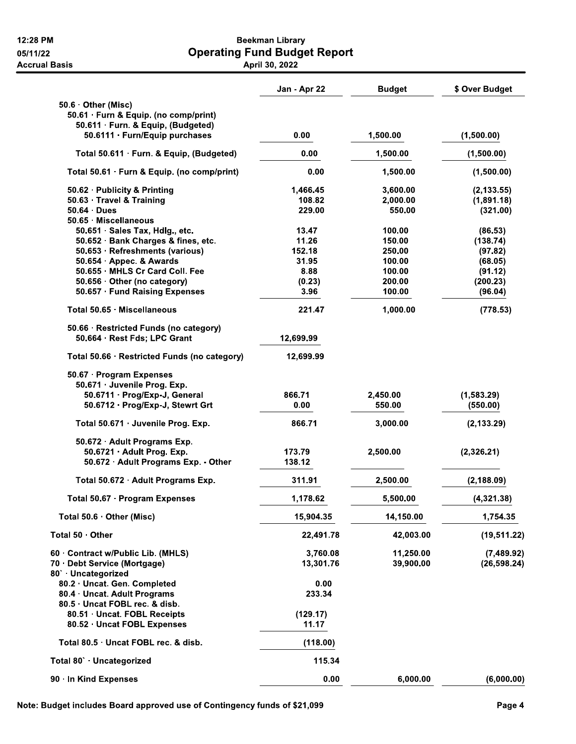| 12:28 PM             |
|----------------------|
| 05/11/22             |
| <b>Accrual Basis</b> |

### **Beekman Library Operating Fund Budget Report**

April 30, 2022

|                                                                      | Jan - Apr 22 | <b>Budget</b> | \$ Over Budget |
|----------------------------------------------------------------------|--------------|---------------|----------------|
| $50.6 \cdot$ Other (Misc)                                            |              |               |                |
| 50.61 · Furn & Equip. (no comp/print)                                |              |               |                |
| 50.611 · Furn. & Equip, (Budgeted)<br>50.6111 · Furn/Equip purchases | 0.00         | 1,500.00      | (1,500.00)     |
| Total 50.611 · Furn. & Equip, (Budgeted)                             | 0.00         | 1,500.00      | (1,500.00)     |
| Total 50.61 · Furn & Equip. (no comp/print)                          | 0.00         | 1,500.00      | (1,500.00)     |
| 50.62 · Publicity & Printing                                         | 1,466.45     | 3,600.00      | (2, 133.55)    |
| 50.63 · Travel & Training                                            | 108.82       | 2,000.00      | (1,891.18)     |
| $50.64 \cdot Dues$                                                   | 229.00       | 550.00        | (321.00)       |
| 50.65 · Miscellaneous                                                |              |               |                |
| 50.651 · Sales Tax, Hdlg., etc.                                      | 13.47        | 100.00        | (86.53)        |
| 50.652 · Bank Charges & fines, etc.                                  | 11.26        | 150.00        | (138.74)       |
| 50.653 · Refreshments (various)                                      | 152.18       | 250.00        | (97.82)        |
| 50.654 · Appec. & Awards                                             | 31.95        | 100.00        | (68.05)        |
| 50.655 · MHLS Cr Card Coll. Fee                                      | 8.88         | 100.00        | (91.12)        |
| 50.656 · Other (no category)                                         | (0.23)       | 200.00        | (200.23)       |
| 50.657 · Fund Raising Expenses                                       | 3.96         | 100.00        | (96.04)        |
| Total 50.65 · Miscellaneous                                          | 221.47       | 1,000.00      | (778.53)       |
| 50.66 · Restricted Funds (no category)                               |              |               |                |
| 50.664 · Rest Fds; LPC Grant                                         | 12,699.99    |               |                |
| Total 50.66 · Restricted Funds (no category)                         | 12,699.99    |               |                |
| 50.67 · Program Expenses                                             |              |               |                |
| 50.671 · Juvenile Prog. Exp.                                         |              |               |                |
| 50.6711 · Prog/Exp-J, General                                        | 866.71       | 2,450.00      | (1,583.29)     |
| 50.6712 · Prog/Exp-J, Stewrt Grt                                     | 0.00         | 550.00        | (550.00)       |
| Total 50.671 · Juvenile Prog. Exp.                                   | 866.71       | 3,000.00      | (2, 133.29)    |
|                                                                      |              |               |                |
| 50.672 · Adult Programs Exp.                                         |              |               |                |
| 50.6721 · Adult Prog. Exp.                                           | 173.79       | 2,500.00      | (2,326.21)     |
| 50.672 · Adult Programs Exp. - Other                                 | 138.12       |               |                |
| Total 50.672 · Adult Programs Exp.                                   | 311.91       | 2,500.00      | (2, 188.09)    |
| Total 50.67 · Program Expenses                                       | 1,178.62     | 5,500.00      | (4,321.38)     |
| Total $50.6 \cdot$ Other (Misc)                                      | 15,904.35    | 14,150.00     | 1,754.35       |
| Total 50 Other                                                       | 22,491.78    | 42,003.00     | (19, 511.22)   |
| 60 Contract w/Public Lib. (MHLS)                                     | 3,760.08     | 11,250.00     | (7,489.92)     |
| 70 · Debt Service (Mortgage)                                         | 13,301.76    | 39,900.00     | (26, 598.24)   |
| 80` · Uncategorized                                                  |              |               |                |
| 80.2 · Uncat. Gen. Completed                                         | 0.00         |               |                |
| 80.4 · Uncat. Adult Programs                                         | 233.34       |               |                |
| 80.5 · Uncat FOBL rec. & disb.                                       |              |               |                |
| 80.51 · Uncat. FOBL Receipts                                         | (129.17)     |               |                |
| 80.52 · Uncat FOBL Expenses                                          | 11.17        |               |                |
| Total 80.5 · Uncat FOBL rec. & disb.                                 | (118.00)     |               |                |
| Total 80 · Uncategorized                                             | 115.34       |               |                |
| 90 · In Kind Expenses                                                | 0.00         | 6,000.00      | (6,000.00)     |